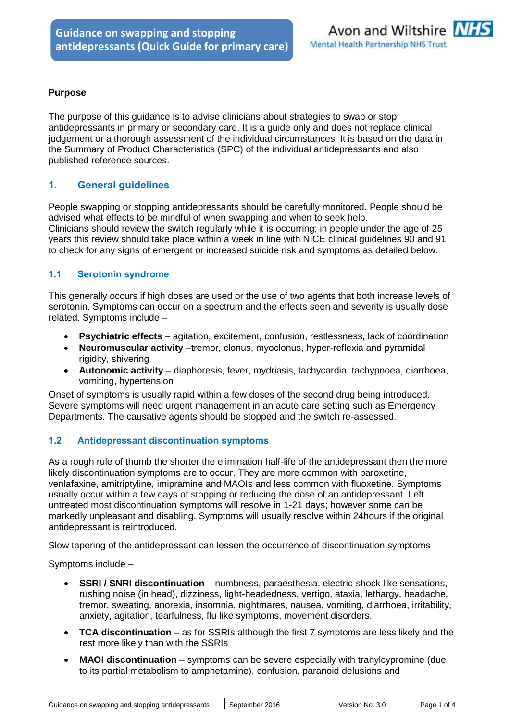

### **Purpose**

The purpose of this guidance is to advise clinicians about strategies to swap or stop antidepressants in primary or secondary care. It is a guide only and does not replace clinical judgement or a thorough assessment of the individual circumstances. It is based on the data in the Summary of Product Characteristics (SPC) of the individual antidepressants and also published reference sources.

# **1. General guidelines**

People swapping or stopping antidepressants should be carefully monitored. People should be advised what effects to be mindful of when swapping and when to seek help. Clinicians should review the switch regularly while it is occurring; in people under the age of 25 years this review should take place within a week in line with NICE clinical guidelines 90 and 91 to check for any signs of emergent or increased suicide risk and symptoms as detailed below.

#### **1.1 Serotonin syndrome**

This generally occurs if high doses are used or the use of two agents that both increase levels of serotonin. Symptoms can occur on a spectrum and the effects seen and severity is usually dose related. Symptoms include –

- **Psychiatric effects** agitation, excitement, confusion, restlessness, lack of coordination
- **Neuromuscular activity** –tremor, clonus, myoclonus, hyper-reflexia and pyramidal rigidity, shivering
- **Autonomic activity**  diaphoresis, fever, mydriasis, tachycardia, tachypnoea, diarrhoea, vomiting, hypertension

Onset of symptoms is usually rapid within a few doses of the second drug being introduced. Severe symptoms will need urgent management in an acute care setting such as Emergency Departments. The causative agents should be stopped and the switch re-assessed.

#### **1.2 Antidepressant discontinuation symptoms**

As a rough rule of thumb the shorter the elimination half-life of the antidepressant then the more likely discontinuation symptoms are to occur. They are more common with paroxetine, venlafaxine, amitriptyline, imipramine and MAOIs and less common with fluoxetine. Symptoms usually occur within a few days of stopping or reducing the dose of an antidepressant. Left untreated most discontinuation symptoms will resolve in 1-21 days; however some can be markedly unpleasant and disabling. Symptoms will usually resolve within 24hours if the original antidepressant is reintroduced.

Slow tapering of the antidepressant can lessen the occurrence of discontinuation symptoms

Symptoms include –

- **SSRI / SNRI discontinuation** numbness, paraesthesia, electric-shock like sensations, rushing noise (in head), dizziness, light-headedness, vertigo, ataxia, lethargy, headache, tremor, sweating, anorexia, insomnia, nightmares, nausea, vomiting, diarrhoea, irritability, anxiety, agitation, tearfulness, flu like symptoms, movement disorders.
- **TCA discontinuation**  as for SSRIs although the first 7 symptoms are less likely and the rest more likely than with the SSRIs
- **MAOI discontinuation** symptoms can be severe especially with tranylcypromine (due to its partial metabolism to amphetamine), confusion, paranoid delusions and

| ≅No:<br>Version<br>Page<br>September<br>-3.C<br>οt | Guidance on swapping and stopping antidepressants | 2016 |  |  |
|----------------------------------------------------|---------------------------------------------------|------|--|--|
|----------------------------------------------------|---------------------------------------------------|------|--|--|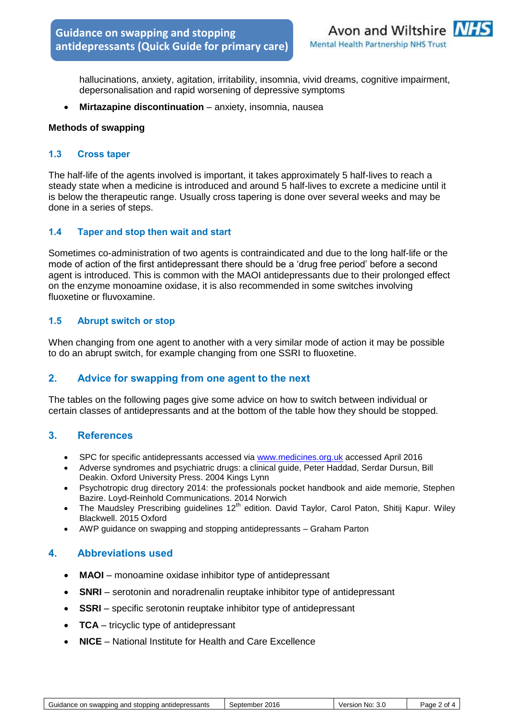

hallucinations, anxiety, agitation, irritability, insomnia, vivid dreams, cognitive impairment, depersonalisation and rapid worsening of depressive symptoms

**Mirtazapine discontinuation** – anxiety, insomnia, nausea

#### **Methods of swapping**

#### **1.3 Cross taper**

The half-life of the agents involved is important, it takes approximately 5 half-lives to reach a steady state when a medicine is introduced and around 5 half-lives to excrete a medicine until it is below the therapeutic range. Usually cross tapering is done over several weeks and may be done in a series of steps.

#### **1.4 Taper and stop then wait and start**

Sometimes co-administration of two agents is contraindicated and due to the long half-life or the mode of action of the first antidepressant there should be a 'drug free period' before a second agent is introduced. This is common with the MAOI antidepressants due to their prolonged effect on the enzyme monoamine oxidase, it is also recommended in some switches involving fluoxetine or fluvoxamine.

#### **1.5 Abrupt switch or stop**

When changing from one agent to another with a very similar mode of action it may be possible to do an abrupt switch, for example changing from one SSRI to fluoxetine.

# **2. Advice for swapping from one agent to the next**

The tables on the following pages give some advice on how to switch between individual or certain classes of antidepressants and at the bottom of the table how they should be stopped.

#### **3. References**

- SPC for specific antidepressants accessed via [www.medicines.org.uk](http://www.medicines.org.uk/) accessed April 2016
- Adverse syndromes and psychiatric drugs: a clinical guide, Peter Haddad, Serdar Dursun, Bill Deakin. Oxford University Press. 2004 Kings Lynn
- Psychotropic drug directory 2014: the professionals pocket handbook and aide memorie, Stephen Bazire. Loyd-Reinhold Communications. 2014 Norwich
- The Maudsley Prescribing guidelines  $12<sup>th</sup>$  edition. David Taylor, Carol Paton, Shitij Kapur. Wiley Blackwell. 2015 Oxford
- AWP guidance on swapping and stopping antidepressants Graham Parton

#### **4. Abbreviations used**

- MAOI monoamine oxidase inhibitor type of antidepressant
- **SNRI**  serotonin and noradrenalin reuptake inhibitor type of antidepressant
- **SSRI** specific serotonin reuptake inhibitor type of antidepressant
- **TCA** tricyclic type of antidepressant
- **NICE**  National Institute for Health and Care Excellence

| antidepressants<br>i swapping and :<br>l stoppina<br>Guidance on | 2016<br>September | No:<br>Version<br>-3.C | Page<br>Οt |
|------------------------------------------------------------------|-------------------|------------------------|------------|
|------------------------------------------------------------------|-------------------|------------------------|------------|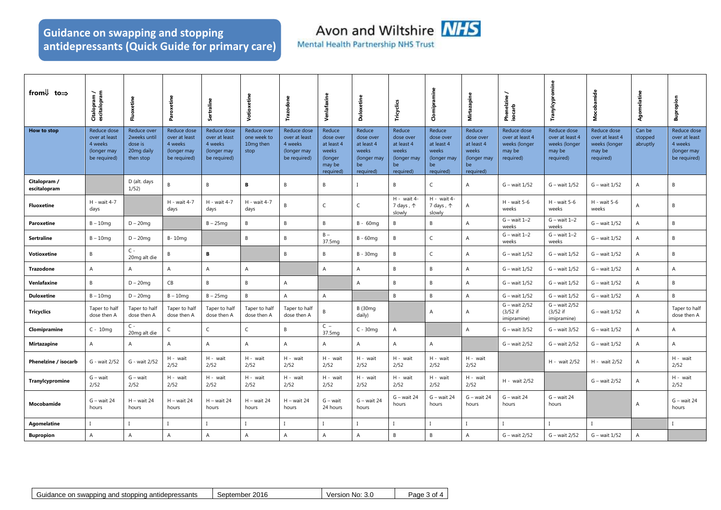# **Guidance on swapping and stopping antidepressants (Quick Guide for primary care)**

Avon and Wiltshire **NHS** 

**Mental Health Partnership NHS Trust** 

| from $\downarrow$ to $\Rightarrow$ | Citalopram /<br>escitalopram                                           | Fluoxetine                                                        | Paroxetine                                                             | Sertraline                                                                    | Votioxetine                                     | Trazodone                                                              | Venlafaxine                                                                  | <b>Duloxetine</b>                                                            | Tricyclics                                                                   | Clomipramine                                                                 | Mirtazapine                                                                  | Phenelzine<br>isocarb                                                  | Tranylcypromine                                                        | sobamide<br>ż                                                          | Agomelatine                   | upropion<br>ø                                                          |
|------------------------------------|------------------------------------------------------------------------|-------------------------------------------------------------------|------------------------------------------------------------------------|-------------------------------------------------------------------------------|-------------------------------------------------|------------------------------------------------------------------------|------------------------------------------------------------------------------|------------------------------------------------------------------------------|------------------------------------------------------------------------------|------------------------------------------------------------------------------|------------------------------------------------------------------------------|------------------------------------------------------------------------|------------------------------------------------------------------------|------------------------------------------------------------------------|-------------------------------|------------------------------------------------------------------------|
| How to stop                        | Reduce dose<br>over at least<br>4 weeks<br>(longer may<br>be required) | Reduce over<br>2weeks until<br>dose is<br>20mg daily<br>then stop | Reduce dose<br>over at least<br>4 weeks<br>(longer may<br>be required) | <b>Reduce dose</b><br>over at least<br>4 weeks<br>(longer may<br>be required) | Reduce over<br>one week to<br>10mg then<br>stop | Reduce dose<br>over at least<br>4 weeks<br>(longer may<br>be required) | Reduce<br>dose over<br>at least 4<br>weeks<br>(longer<br>may be<br>required) | Reduce<br>dose over<br>at least 4<br>weeks<br>(longer may<br>be<br>required) | Reduce<br>dose over<br>at least 4<br>weeks<br>(longer may<br>be<br>required) | Reduce<br>dose over<br>at least 4<br>weeks<br>(longer may<br>be<br>required) | Reduce<br>dose over<br>at least 4<br>weeks<br>(longer may<br>be<br>required) | Reduce dose<br>over at least 4<br>weeks (longer<br>may be<br>required) | Reduce dose<br>over at least 4<br>weeks (longer<br>may be<br>required) | Reduce dose<br>over at least 4<br>weeks (longer<br>may be<br>required) | Can be<br>stopped<br>abruptly | Reduce dose<br>over at least<br>4 weeks<br>(longer may<br>be required) |
| Citalopram /<br>escitalopram       |                                                                        | D (alt. days<br>1/52)                                             | B                                                                      | B                                                                             | B                                               | B                                                                      | B                                                                            | $\mathbf{I}$                                                                 | B                                                                            | $\mathsf C$                                                                  | $\overline{A}$                                                               | G - wait 1/52                                                          | G - wait 1/52                                                          | G - wait 1/52                                                          | $\overline{A}$                | B                                                                      |
| <b>Fluoxetine</b>                  | H - wait 4-7<br>days                                                   |                                                                   | H - wait 4-7<br>days                                                   | H - wait 4-7<br>days                                                          | H - wait 4-7<br>days                            | B                                                                      | C                                                                            | $\mathsf{C}$                                                                 | H - wait 4-<br>7 days, 个<br>slowly                                           | H - wait 4-<br>7 days, 个<br>slowly                                           | Α                                                                            | $H - wait 5-6$<br>weeks                                                | $H - wait 5-6$<br>weeks                                                | $H - wait 5-6$<br>weeks                                                | A                             | B                                                                      |
| Paroxetine                         | $B - 10$ mg                                                            | $D - 20$ mg                                                       |                                                                        | $B - 25mg$                                                                    | B                                               | $\overline{B}$                                                         | B                                                                            | $B - 60$ mg                                                                  | B                                                                            | B                                                                            | А                                                                            | $G - wait 1-2$<br>weeks                                                | $G - wait 1-2$<br>weeks                                                | $G - wait 1/52$                                                        | $\overline{A}$                | $\overline{B}$                                                         |
| Sertraline                         | $B - 10mg$                                                             | $D - 20$ mg                                                       | $B-10mq$                                                               |                                                                               | $\, {\sf B}$                                    | B                                                                      | $B -$<br>37.5mg                                                              | $B - 60$ mg                                                                  | $\,$ B                                                                       | $\mathsf C$                                                                  | А                                                                            | $G - wait 1-2$<br>weeks                                                | $G - wait 1-2$<br>weeks                                                | G - wait 1/52                                                          | A                             | B                                                                      |
| Votioxetine                        | B                                                                      | $C -$<br>20mg alt die                                             | B                                                                      | B                                                                             |                                                 | B                                                                      | В                                                                            | $B - 30mg$                                                                   | $\,$ B                                                                       | $\mathsf C$                                                                  | A                                                                            | G - wait 1/52                                                          | G - wait 1/52                                                          | $G - wait 1/52$                                                        | A                             | B                                                                      |
| Trazodone                          | $\overline{A}$                                                         | Α                                                                 | A                                                                      | $\overline{A}$                                                                | $\overline{A}$                                  |                                                                        | $\overline{A}$                                                               | A                                                                            | $\,$ B                                                                       | $\,$ B                                                                       | А                                                                            | G - wait 1/52                                                          | G - wait 1/52                                                          | G - wait 1/52                                                          | A                             | $\overline{A}$                                                         |
| Venlafaxine                        | B                                                                      | $D - 20$ mg                                                       | CB                                                                     | B                                                                             | B                                               | $\overline{A}$                                                         |                                                                              | A                                                                            | B                                                                            | B                                                                            | A                                                                            | G - wait 1/52                                                          | G - wait 1/52                                                          | G - wait 1/52                                                          | $\overline{A}$                | B                                                                      |
| <b>Duloxetine</b>                  | $B - 10$ mg                                                            | $D - 20$ mg                                                       | $B - 10$ mg                                                            | $B - 25mg$                                                                    | B                                               | A                                                                      | $\mathsf{A}$                                                                 |                                                                              | $\mathsf{B}$                                                                 | $\, {\sf B}$                                                                 | Α                                                                            | G - wait 1/52                                                          | G - wait 1/52                                                          | G - wait 1/52                                                          | $\overline{A}$                | $\overline{B}$                                                         |
| <b>Tricyclics</b>                  | Taper to half<br>dose then A                                           | Taper to half<br>dose then A                                      | Taper to half<br>dose then A                                           | Taper to half<br>dose then A                                                  | Taper to half<br>dose then A                    | Taper to half<br>dose then A                                           | B                                                                            | <b>B</b> (30mg<br>daily)                                                     |                                                                              | $\overline{A}$                                                               | $\overline{A}$                                                               | G - wait 2/52<br>$(3/52$ if<br>imipramine)                             | G - wait 2/52<br>$(3/52$ if<br>imipramine)                             | $G - wait 1/52$                                                        | $\overline{A}$                | Taper to half<br>dose then A                                           |
| Clomipramine                       | $C - 10mg$                                                             | $C -$<br>20mg alt die                                             | C                                                                      | $\mathsf C$                                                                   | $\mathsf{C}$                                    | $\,$ B                                                                 | $C -$<br>37.5mg                                                              | $C - 30$ mq                                                                  | $\mathsf A$                                                                  |                                                                              | A                                                                            | $G - wait 3/52$                                                        | G - wait 3/52                                                          | G - wait 1/52                                                          | $\overline{A}$                | $\overline{A}$                                                         |
| <b>Mirtazapine</b>                 | A                                                                      | Α                                                                 | A                                                                      | Α                                                                             | $\mathsf{A}$                                    | $\overline{A}$                                                         | Α                                                                            | $\overline{A}$                                                               | А                                                                            | Α                                                                            |                                                                              | G - wait 2/52                                                          | G – wait 2/52                                                          | G - wait 1/52                                                          | $\overline{A}$                | $\overline{A}$                                                         |
| Phenelzine / isocarb               | G - wait 2/52                                                          | G - wait 2/52                                                     | H - wait<br>2/52                                                       | H - wait<br>2/52                                                              | H - wait<br>2/52                                | H - wait<br>2/52                                                       | H - wait<br>2/52                                                             | H - wait<br>2/52                                                             | H - wait<br>2/52                                                             | H - wait<br>2/52                                                             | H - wait<br>2/52                                                             |                                                                        | H - wait 2/52                                                          | H - wait 2/52                                                          | А                             | H - wait<br>2/52                                                       |
| Tranylcypromine                    | $G$ – wait<br>2/52                                                     | $G - wait$<br>2/52                                                | H - wait<br>2/52                                                       | H - wait<br>2/52                                                              | H - wait<br>2/52                                | H - wait<br>2/52                                                       | H - wait<br>2/52                                                             | H - wait<br>2/52                                                             | H - wait<br>2/52                                                             | H - wait<br>2/52                                                             | H - wait<br>2/52                                                             | H - wait 2/52                                                          |                                                                        | G - wait 2/52                                                          | $\overline{A}$                | H - wait<br>2/52                                                       |
| Mocobamide                         | $G - wait 24$<br>hours                                                 | $H - wait 24$<br>hours                                            | $H - wait 24$<br>hours                                                 | $H - wait 24$<br>hours                                                        | $H - wait 24$<br>hours                          | $H - wait 24$<br>hours                                                 | G – wait<br>24 hours                                                         | $G - wait 24$<br>hours                                                       | $G - wait 24$<br>hours                                                       | $G - wait 24$<br>hours                                                       | $G - wait 24$<br>hours                                                       | $G - wait 24$<br>hours                                                 | $G - wait 24$<br>hours                                                 |                                                                        | $\mathsf{A}$                  | $G - wait 24$<br>hours                                                 |
| Agomelatine                        |                                                                        |                                                                   |                                                                        |                                                                               |                                                 |                                                                        |                                                                              |                                                                              | $\mathbf{I}$                                                                 |                                                                              |                                                                              |                                                                        |                                                                        |                                                                        |                               |                                                                        |
| <b>Bupropion</b>                   | $\overline{A}$                                                         | $\overline{A}$                                                    | А                                                                      | $\Delta$                                                                      | $\mathsf{A}$                                    | $\overline{A}$                                                         | A                                                                            | $\overline{A}$                                                               | B                                                                            | B                                                                            | $\overline{A}$                                                               | G - wait 2/52                                                          | G - wait 2/52                                                          | G - wait 1/52                                                          | $\Delta$                      |                                                                        |

| n swapping and stopping antidepressants<br>Guidance on | 2016<br>September | No:<br>-3.0<br>/ersion | Page<br>∴∩t<br>v |
|--------------------------------------------------------|-------------------|------------------------|------------------|
|--------------------------------------------------------|-------------------|------------------------|------------------|